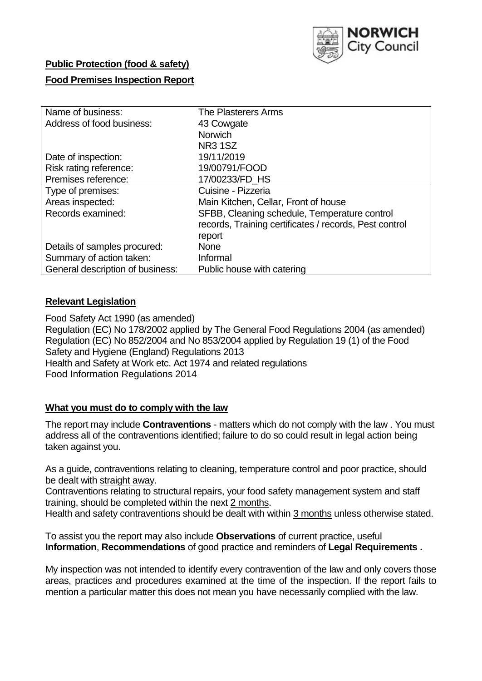

#### **Public Protection (food & safety)**

### **Food Premises Inspection Report**

| Name of business:                | The Plasterers Arms                                    |  |  |  |  |  |
|----------------------------------|--------------------------------------------------------|--|--|--|--|--|
| Address of food business:        | 43 Cowgate                                             |  |  |  |  |  |
|                                  | <b>Norwich</b>                                         |  |  |  |  |  |
|                                  | <b>NR3 1SZ</b>                                         |  |  |  |  |  |
| Date of inspection:              | 19/11/2019                                             |  |  |  |  |  |
| Risk rating reference:           | 19/00791/FOOD                                          |  |  |  |  |  |
| Premises reference:              | 17/00233/FD HS                                         |  |  |  |  |  |
| Type of premises:                | Cuisine - Pizzeria                                     |  |  |  |  |  |
| Areas inspected:                 | Main Kitchen, Cellar, Front of house                   |  |  |  |  |  |
| Records examined:                | SFBB, Cleaning schedule, Temperature control           |  |  |  |  |  |
|                                  | records, Training certificates / records, Pest control |  |  |  |  |  |
|                                  | report                                                 |  |  |  |  |  |
| Details of samples procured:     | <b>None</b>                                            |  |  |  |  |  |
| Summary of action taken:         | Informal                                               |  |  |  |  |  |
| General description of business: | Public house with catering                             |  |  |  |  |  |

### **Relevant Legislation**

Food Safety Act 1990 (as amended) Regulation (EC) No 178/2002 applied by The General Food Regulations 2004 (as amended) Regulation (EC) No 852/2004 and No 853/2004 applied by Regulation 19 (1) of the Food Safety and Hygiene (England) Regulations 2013 Health and Safety at Work etc. Act 1974 and related regulations Food Information Regulations 2014

#### **What you must do to comply with the law**

The report may include **Contraventions** - matters which do not comply with the law . You must address all of the contraventions identified; failure to do so could result in legal action being taken against you.

As a guide, contraventions relating to cleaning, temperature control and poor practice, should be dealt with straight away.

Contraventions relating to structural repairs, your food safety management system and staff training, should be completed within the next 2 months.

Health and safety contraventions should be dealt with within 3 months unless otherwise stated.

To assist you the report may also include **Observations** of current practice, useful **Information**, **Recommendations** of good practice and reminders of **Legal Requirements .**

My inspection was not intended to identify every contravention of the law and only covers those areas, practices and procedures examined at the time of the inspection. If the report fails to mention a particular matter this does not mean you have necessarily complied with the law.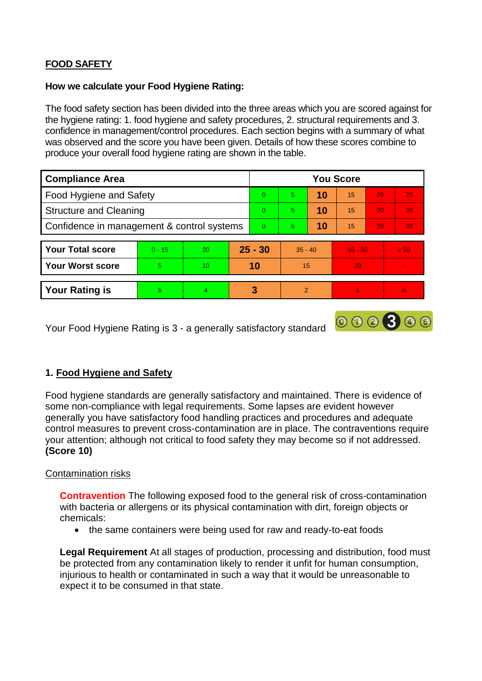# **FOOD SAFETY**

#### **How we calculate your Food Hygiene Rating:**

The food safety section has been divided into the three areas which you are scored against for the hygiene rating: 1. food hygiene and safety procedures, 2. structural requirements and 3. confidence in management/control procedures. Each section begins with a summary of what was observed and the score you have been given. Details of how these scores combine to produce your overall food hygiene rating are shown in the table.

| <b>Compliance Area</b>                     |          |    |           | <b>You Score</b> |               |    |           |                 |                |  |  |
|--------------------------------------------|----------|----|-----------|------------------|---------------|----|-----------|-----------------|----------------|--|--|
| Food Hygiene and Safety                    |          |    |           | $\Omega$         | 5             | 10 | 15        | 20              | 25             |  |  |
| <b>Structure and Cleaning</b>              |          |    | $\Omega$  | 5                | 10            | 15 | 20        | 25              |                |  |  |
| Confidence in management & control systems |          |    | $\Omega$  | 5                | 10            | 15 | 20        | 30 <sub>1</sub> |                |  |  |
|                                            |          |    |           |                  |               |    |           |                 |                |  |  |
| <b>Your Total score</b>                    | $0 - 15$ | 20 | $25 - 30$ |                  | $35 - 40$     |    | $45 - 50$ |                 | > 50           |  |  |
| <b>Your Worst score</b>                    | 5        | 10 | 10        |                  | 15            |    | 20        |                 |                |  |  |
|                                            |          |    |           |                  |               |    |           |                 |                |  |  |
| <b>Your Rating is</b>                      | 5.       | 4  |           | 3                | $\mathcal{P}$ |    |           |                 | $\overline{0}$ |  |  |

Your Food Hygiene Rating is 3 - a generally satisfactory standard

## **1. Food Hygiene and Safety**

Food hygiene standards are generally satisfactory and maintained. There is evidence of some non-compliance with legal requirements. Some lapses are evident however generally you have satisfactory food handling practices and procedures and adequate control measures to prevent cross-contamination are in place. The contraventions require your attention; although not critical to food safety they may become so if not addressed. **(Score 10)**

000300

#### Contamination risks

**Contravention** The following exposed food to the general risk of cross-contamination with bacteria or allergens or its physical contamination with dirt, foreign objects or chemicals:

• the same containers were being used for raw and ready-to-eat foods

**Legal Requirement** At all stages of production, processing and distribution, food must be protected from any contamination likely to render it unfit for human consumption, injurious to health or contaminated in such a way that it would be unreasonable to expect it to be consumed in that state.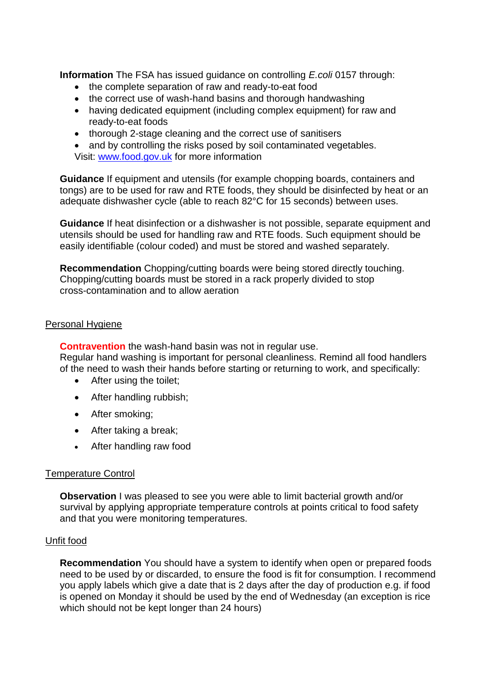**Information** The FSA has issued guidance on controlling *E.coli* 0157 through:

- the complete separation of raw and ready-to-eat food
- the correct use of wash-hand basins and thorough handwashing
- having dedicated equipment (including complex equipment) for raw and ready-to-eat foods
- thorough 2-stage cleaning and the correct use of sanitisers

• and by controlling the risks posed by soil contaminated vegetables. Visit: [www.food.gov.uk](http://www.food.gov.uk/) for more information

**Guidance** If equipment and utensils (for example chopping boards, containers and tongs) are to be used for raw and RTE foods, they should be disinfected by heat or an adequate dishwasher cycle (able to reach 82°C for 15 seconds) between uses.

**Guidance** If heat disinfection or a dishwasher is not possible, separate equipment and utensils should be used for handling raw and RTE foods. Such equipment should be easily identifiable (colour coded) and must be stored and washed separately.

**Recommendation** Chopping/cutting boards were being stored directly touching. Chopping/cutting boards must be stored in a rack properly divided to stop cross-contamination and to allow aeration

#### Personal Hygiene

**Contravention** the wash-hand basin was not in regular use. Regular hand washing is important for personal cleanliness. Remind all food handlers of the need to wash their hands before starting or returning to work, and specifically:

- After using the toilet;
- After handling rubbish;
- After smoking;
- After taking a break;
- After handling raw food

#### Temperature Control

**Observation** I was pleased to see you were able to limit bacterial growth and/or survival by applying appropriate temperature controls at points critical to food safety and that you were monitoring temperatures.

#### Unfit food

**Recommendation** You should have a system to identify when open or prepared foods need to be used by or discarded, to ensure the food is fit for consumption. I recommend you apply labels which give a date that is 2 days after the day of production e.g. if food is opened on Monday it should be used by the end of Wednesday (an exception is rice which should not be kept longer than 24 hours)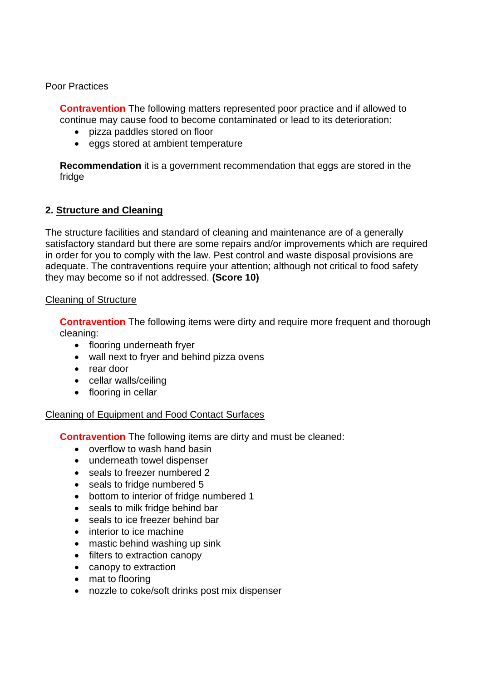#### Poor Practices

**Contravention** The following matters represented poor practice and if allowed to continue may cause food to become contaminated or lead to its deterioration:

- pizza paddles stored on floor
- eggs stored at ambient temperature

**Recommendation** it is a government recommendation that eggs are stored in the fridge

### **2. Structure and Cleaning**

The structure facilities and standard of cleaning and maintenance are of a generally satisfactory standard but there are some repairs and/or improvements which are required in order for you to comply with the law. Pest control and waste disposal provisions are adequate. The contraventions require your attention; although not critical to food safety they may become so if not addressed. **(Score 10)**

#### Cleaning of Structure

**Contravention** The following items were dirty and require more frequent and thorough cleaning:

- flooring underneath fryer
- wall next to fryer and behind pizza ovens
- rear door
- cellar walls/ceiling
- flooring in cellar

#### Cleaning of Equipment and Food Contact Surfaces

**Contravention** The following items are dirty and must be cleaned:

- overflow to wash hand basin
- underneath towel dispenser
- seals to freezer numbered 2
- seals to fridge numbered 5
- bottom to interior of fridge numbered 1
- seals to milk fridge behind bar
- seals to ice freezer behind bar
- interior to ice machine
- mastic behind washing up sink
- filters to extraction canopy
- canopy to extraction
- mat to flooring
- nozzle to coke/soft drinks post mix dispenser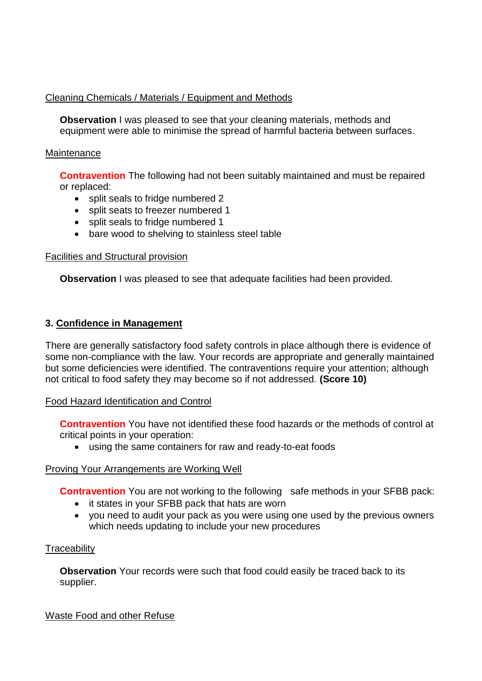## Cleaning Chemicals / Materials / Equipment and Methods

**Observation** I was pleased to see that your cleaning materials, methods and equipment were able to minimise the spread of harmful bacteria between surfaces.

### **Maintenance**

**Contravention** The following had not been suitably maintained and must be repaired or replaced:

- split seals to fridge numbered 2
- split seats to freezer numbered 1
- split seals to fridge numbered 1
- bare wood to shelving to stainless steel table

### Facilities and Structural provision

**Observation** I was pleased to see that adequate facilities had been provided.

## **3. Confidence in Management**

There are generally satisfactory food safety controls in place although there is evidence of some non-compliance with the law. Your records are appropriate and generally maintained but some deficiencies were identified. The contraventions require your attention; although not critical to food safety they may become so if not addressed. **(Score 10)**

## Food Hazard Identification and Control

**Contravention** You have not identified these food hazards or the methods of control at critical points in your operation:

using the same containers for raw and ready-to-eat foods

## Proving Your Arrangements are Working Well

**Contravention** You are not working to the following safe methods in your SFBB pack:

- it states in your SFBB pack that hats are worn
- you need to audit your pack as you were using one used by the previous owners which needs updating to include your new procedures

# **Traceability**

**Observation** Your records were such that food could easily be traced back to its supplier.

Waste Food and other Refuse